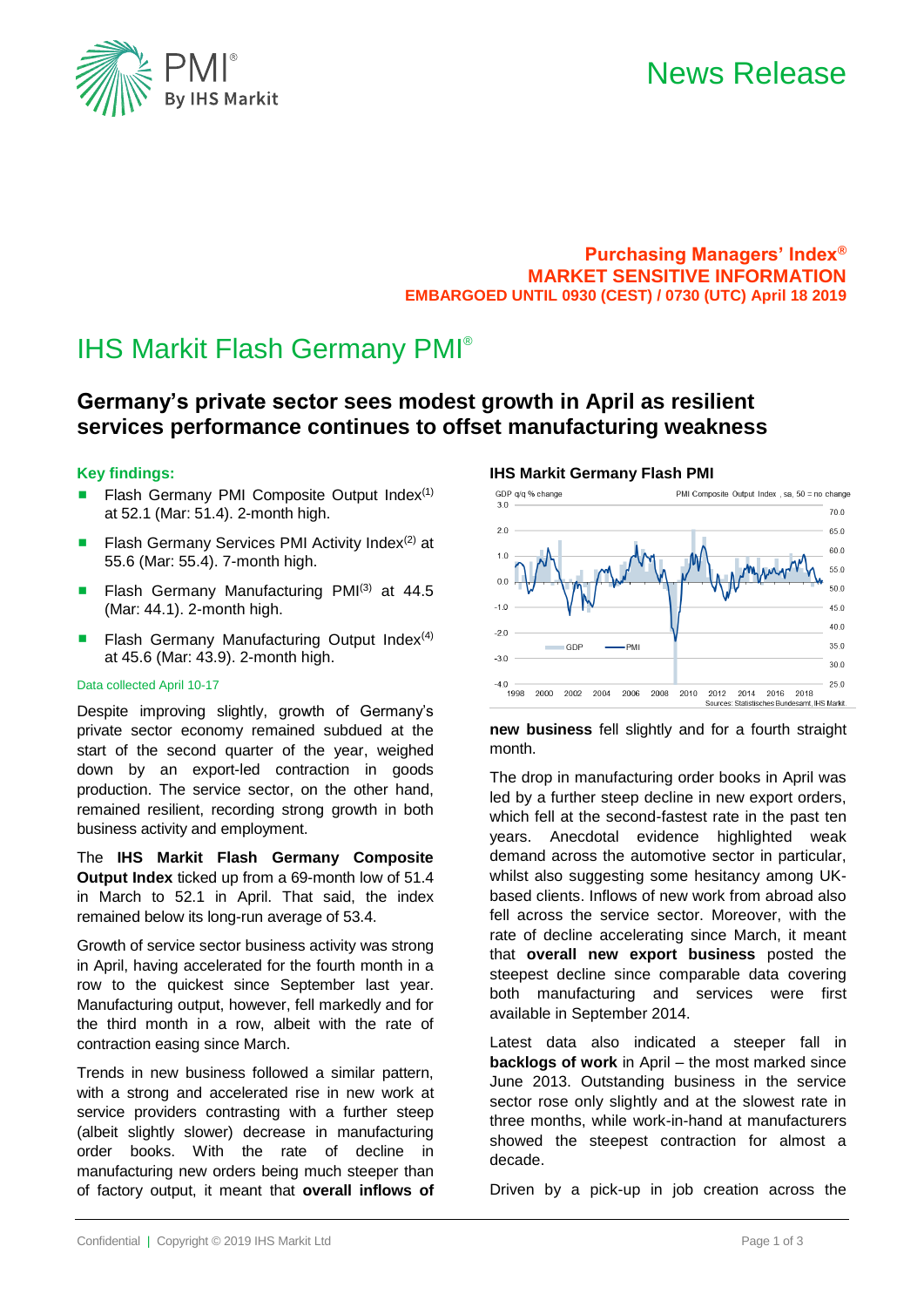



**Purchasing Managers' Index® MARKET SENSITIVE INFORMATION EMBARGOED UNTIL 0930 (CEST) / 0730 (UTC) April 18 2019**

**IHS Markit Germany Flash PMI**

# IHS Markit Flash Germany PMI®

## **Germany's private sector sees modest growth in April as resilient services performance continues to offset manufacturing weakness**

### **Key findings:**

- Flash Germany PMI Composite Output Index $(1)$ at 52.1 (Mar: 51.4). 2-month high.
- Flash Germany Services PMI Activity Index<sup>(2)</sup> at 55.6 (Mar: 55.4). 7-month high.
- Flash Germany Manufacturing PMI(3) at 44.5 (Mar: 44.1). 2-month high.
- **E** Flash Germany Manufacturing Output Index<sup>(4)</sup> at 45.6 (Mar: 43.9). 2-month high.

#### Data collected April 10-17

Despite improving slightly, growth of Germany's private sector economy remained subdued at the start of the second quarter of the year, weighed down by an export-led contraction in goods production. The service sector, on the other hand, remained resilient, recording strong growth in both business activity and employment.

The **IHS Markit Flash Germany Composite Output Index** ticked up from a 69-month low of 51.4 in March to 52.1 in April. That said, the index remained below its long-run average of 53.4.

Growth of service sector business activity was strong in April, having accelerated for the fourth month in a row to the quickest since September last year. Manufacturing output, however, fell markedly and for the third month in a row, albeit with the rate of contraction easing since March.

Trends in new business followed a similar pattern, with a strong and accelerated rise in new work at service providers contrasting with a further steep (albeit slightly slower) decrease in manufacturing order books. With the rate of decline in manufacturing new orders being much steeper than of factory output, it meant that **overall inflows of** 

#### GDP g/g % change PMI Composite Output Index, sa, 50 = no change  $700$  $20$ 65.0 60.0  $10$  $550$  $0<sub>0</sub>$  $50.0$  $-1.0$  $45.0$  $400$  $-20$  $350$ -PMI **GDE**  $-3.0$  $300$  $25.0$ 2000 2002 2004 -<br>1998 -2006 2008 2010 2012 2014 2016 2018 Sources: Statistisches Bundesamt. IHS Markit.

**new business** fell slightly and for a fourth straight month.

The drop in manufacturing order books in April was led by a further steep decline in new export orders, which fell at the second-fastest rate in the past ten years. Anecdotal evidence highlighted weak demand across the automotive sector in particular, whilst also suggesting some hesitancy among UKbased clients. Inflows of new work from abroad also fell across the service sector. Moreover, with the rate of decline accelerating since March, it meant that **overall new export business** posted the steepest decline since comparable data covering both manufacturing and services were first available in September 2014.

Latest data also indicated a steeper fall in **backlogs of work** in April – the most marked since June 2013. Outstanding business in the service sector rose only slightly and at the slowest rate in three months, while work-in-hand at manufacturers showed the steepest contraction for almost a decade.

Driven by a pick-up in job creation across the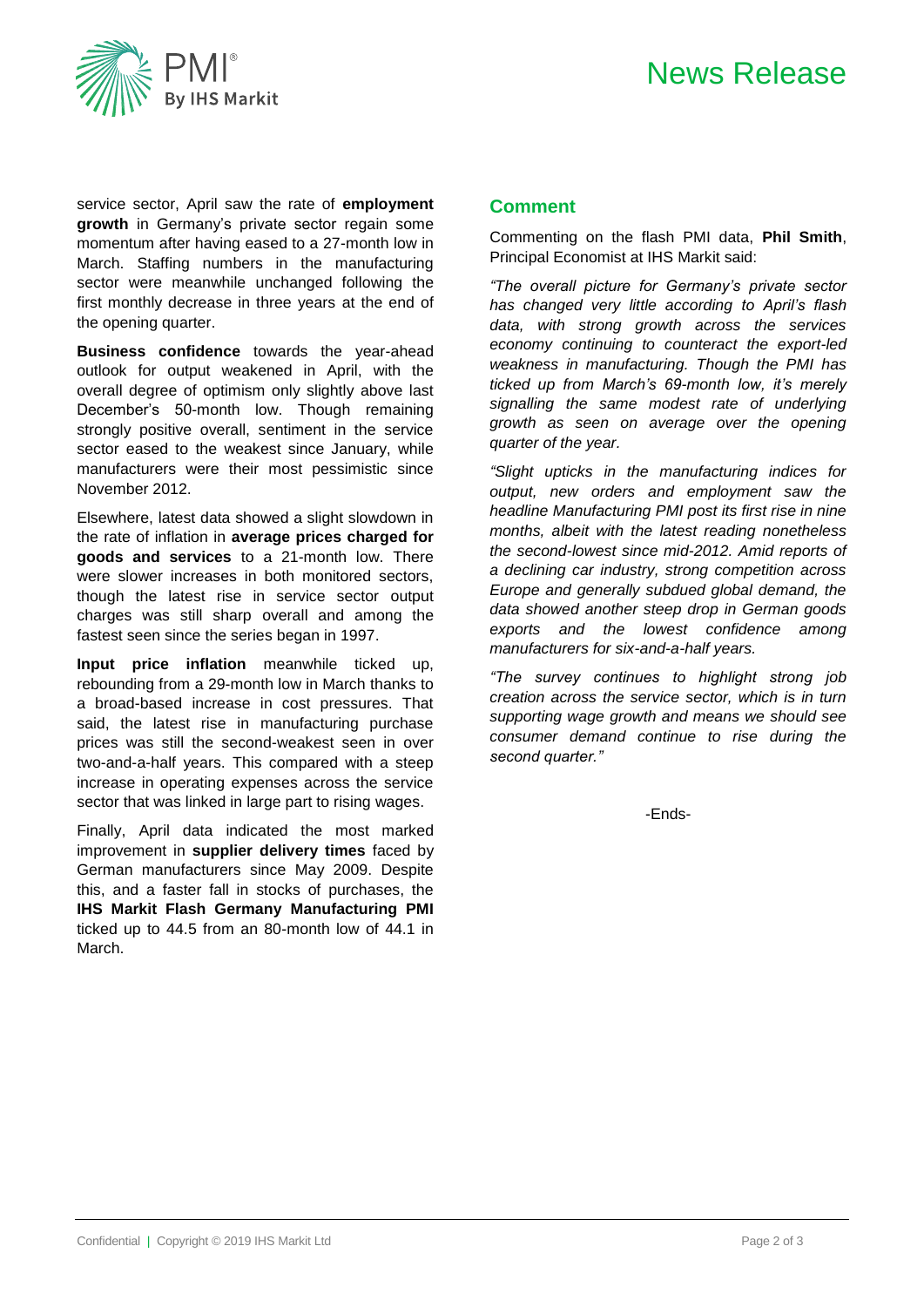

service sector, April saw the rate of **employment growth** in Germany's private sector regain some momentum after having eased to a 27-month low in March. Staffing numbers in the manufacturing sector were meanwhile unchanged following the first monthly decrease in three years at the end of the opening quarter.

**Business confidence** towards the year-ahead outlook for output weakened in April, with the overall degree of optimism only slightly above last December's 50-month low. Though remaining strongly positive overall, sentiment in the service sector eased to the weakest since January, while manufacturers were their most pessimistic since November 2012.

Elsewhere, latest data showed a slight slowdown in the rate of inflation in **average prices charged for goods and services** to a 21-month low. There were slower increases in both monitored sectors, though the latest rise in service sector output charges was still sharp overall and among the fastest seen since the series began in 1997.

**Input price inflation** meanwhile ticked up, rebounding from a 29-month low in March thanks to a broad-based increase in cost pressures. That said, the latest rise in manufacturing purchase prices was still the second-weakest seen in over two-and-a-half years. This compared with a steep increase in operating expenses across the service sector that was linked in large part to rising wages.

Finally, April data indicated the most marked improvement in **supplier delivery times** faced by German manufacturers since May 2009. Despite this, and a faster fall in stocks of purchases, the **IHS Markit Flash Germany Manufacturing PMI** ticked up to 44.5 from an 80-month low of 44.1 in March.

### **Comment**

Commenting on the flash PMI data, **Phil Smith**, Principal Economist at IHS Markit said:

*"The overall picture for Germany's private sector has changed very little according to April's flash data, with strong growth across the services economy continuing to counteract the export-led weakness in manufacturing. Though the PMI has ticked up from March's 69-month low, it's merely signalling the same modest rate of underlying growth as seen on average over the opening quarter of the year.*

*"Slight upticks in the manufacturing indices for output, new orders and employment saw the headline Manufacturing PMI post its first rise in nine months, albeit with the latest reading nonetheless the second-lowest since mid-2012. Amid reports of a declining car industry, strong competition across Europe and generally subdued global demand, the data showed another steep drop in German goods exports and the lowest confidence among manufacturers for six-and-a-half years.* 

*"The survey continues to highlight strong job creation across the service sector, which is in turn supporting wage growth and means we should see consumer demand continue to rise during the second quarter."* 

-Ends-